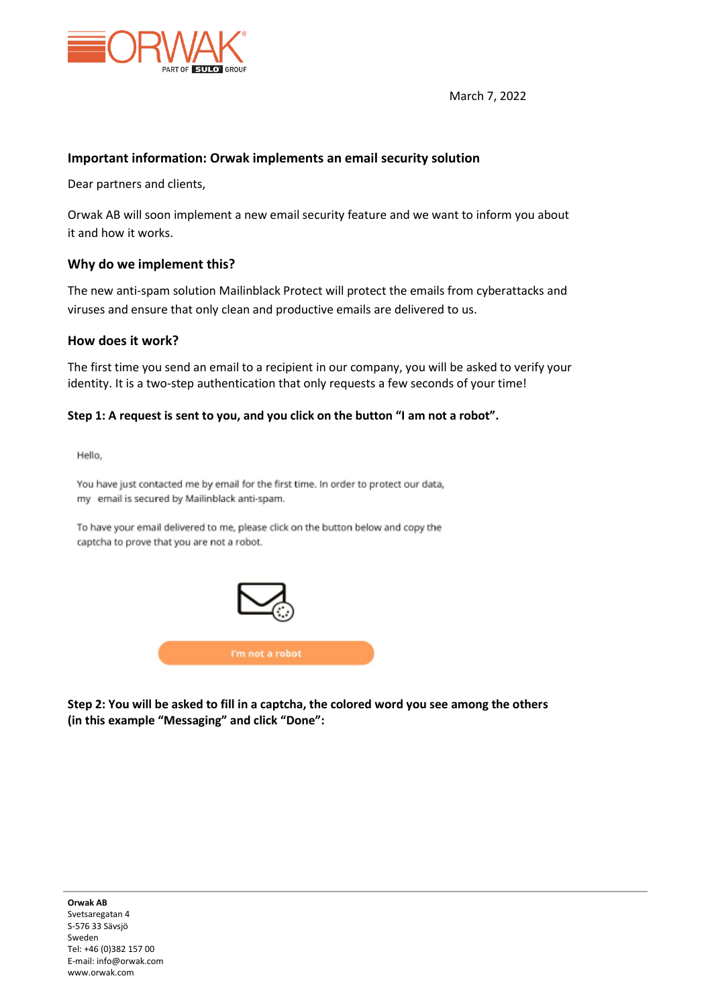

March 7, 2022

## **Important information: Orwak implements an email security solution**

Dear partners and clients,

Orwak AB will soon implement a new email security feature and we want to inform you about it and how it works.

## **Why do we implement this?**

The new anti-spam solution Mailinblack Protect will protect the emails from cyberattacks and viruses and ensure that only clean and productive emails are delivered to us.

### **How does it work?**

The first time you send an email to a recipient in our company, you will be asked to verify your identity. It is a two-step authentication that only requests a few seconds of your time!

#### **Step 1: A request is sent to you, and you click on the button "I am not a robot".**

Hello,

You have just contacted me by email for the first time. In order to protect our data, my email is secured by Mailinblack anti-spam.

To have your email delivered to me, please click on the button below and copy the captcha to prove that you are not a robot.



**Step 2: You will be asked to fill in a captcha, the colored word you see among the others (in this example "Messaging" and click "Done":**